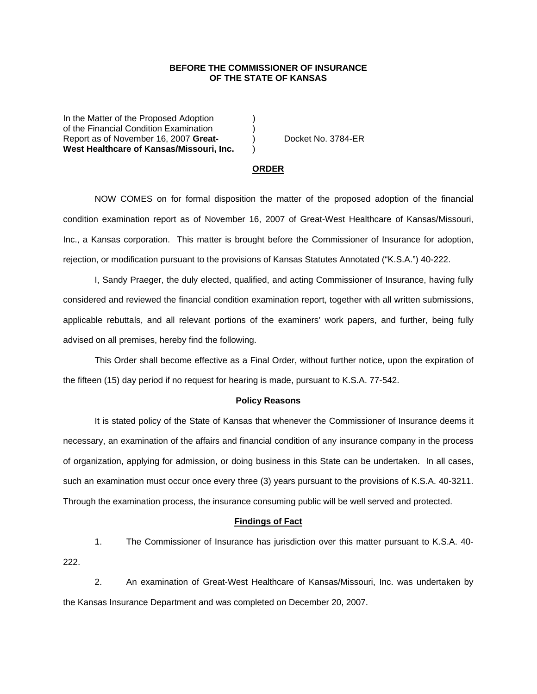## **BEFORE THE COMMISSIONER OF INSURANCE OF THE STATE OF KANSAS**

In the Matter of the Proposed Adoption of the Financial Condition Examination ) Report as of November 16, 2007 **Great-** ) Docket No. 3784-ER **West Healthcare of Kansas/Missouri, Inc.** )

#### **ORDER**

 NOW COMES on for formal disposition the matter of the proposed adoption of the financial condition examination report as of November 16, 2007 of Great-West Healthcare of Kansas/Missouri, Inc., a Kansas corporation. This matter is brought before the Commissioner of Insurance for adoption, rejection, or modification pursuant to the provisions of Kansas Statutes Annotated ("K.S.A.") 40-222.

 I, Sandy Praeger, the duly elected, qualified, and acting Commissioner of Insurance, having fully considered and reviewed the financial condition examination report, together with all written submissions, applicable rebuttals, and all relevant portions of the examiners' work papers, and further, being fully advised on all premises, hereby find the following.

This Order shall become effective as a Final Order, without further notice, upon the expiration of the fifteen (15) day period if no request for hearing is made, pursuant to K.S.A. 77-542.

#### **Policy Reasons**

 It is stated policy of the State of Kansas that whenever the Commissioner of Insurance deems it necessary, an examination of the affairs and financial condition of any insurance company in the process of organization, applying for admission, or doing business in this State can be undertaken. In all cases, such an examination must occur once every three (3) years pursuant to the provisions of K.S.A. 40-3211. Through the examination process, the insurance consuming public will be well served and protected.

## **Findings of Fact**

 1. The Commissioner of Insurance has jurisdiction over this matter pursuant to K.S.A. 40- 222.

 2. An examination of Great-West Healthcare of Kansas/Missouri, Inc. was undertaken by the Kansas Insurance Department and was completed on December 20, 2007.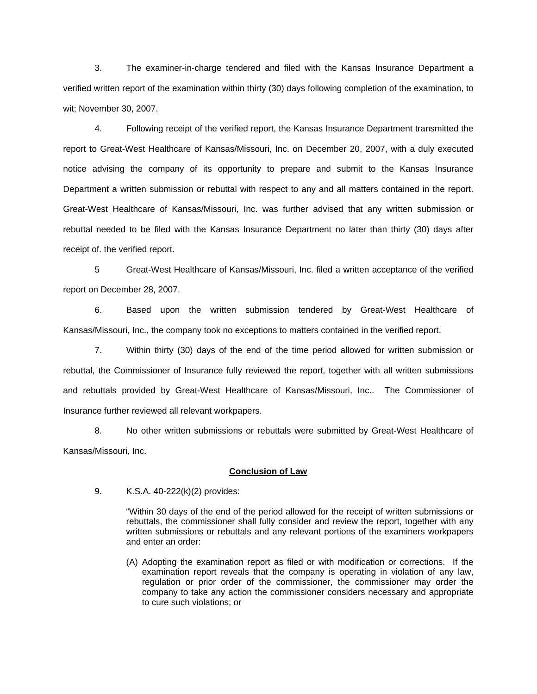3. The examiner-in-charge tendered and filed with the Kansas Insurance Department a verified written report of the examination within thirty (30) days following completion of the examination, to wit; November 30, 2007.

 4. Following receipt of the verified report, the Kansas Insurance Department transmitted the report to Great-West Healthcare of Kansas/Missouri, Inc. on December 20, 2007, with a duly executed notice advising the company of its opportunity to prepare and submit to the Kansas Insurance Department a written submission or rebuttal with respect to any and all matters contained in the report. Great-West Healthcare of Kansas/Missouri, Inc. was further advised that any written submission or rebuttal needed to be filed with the Kansas Insurance Department no later than thirty (30) days after receipt of. the verified report.

 5 Great-West Healthcare of Kansas/Missouri, Inc. filed a written acceptance of the verified report on December 28, 2007.

6. Based upon the written submission tendered by Great-West Healthcare of Kansas/Missouri, Inc., the company took no exceptions to matters contained in the verified report.

 7. Within thirty (30) days of the end of the time period allowed for written submission or rebuttal, the Commissioner of Insurance fully reviewed the report, together with all written submissions and rebuttals provided by Great-West Healthcare of Kansas/Missouri, Inc.. The Commissioner of Insurance further reviewed all relevant workpapers.

 8. No other written submissions or rebuttals were submitted by Great-West Healthcare of Kansas/Missouri, Inc.

### **Conclusion of Law**

9. K.S.A. 40-222(k)(2) provides:

"Within 30 days of the end of the period allowed for the receipt of written submissions or rebuttals, the commissioner shall fully consider and review the report, together with any written submissions or rebuttals and any relevant portions of the examiners workpapers and enter an order:

(A) Adopting the examination report as filed or with modification or corrections. If the examination report reveals that the company is operating in violation of any law, regulation or prior order of the commissioner, the commissioner may order the company to take any action the commissioner considers necessary and appropriate to cure such violations; or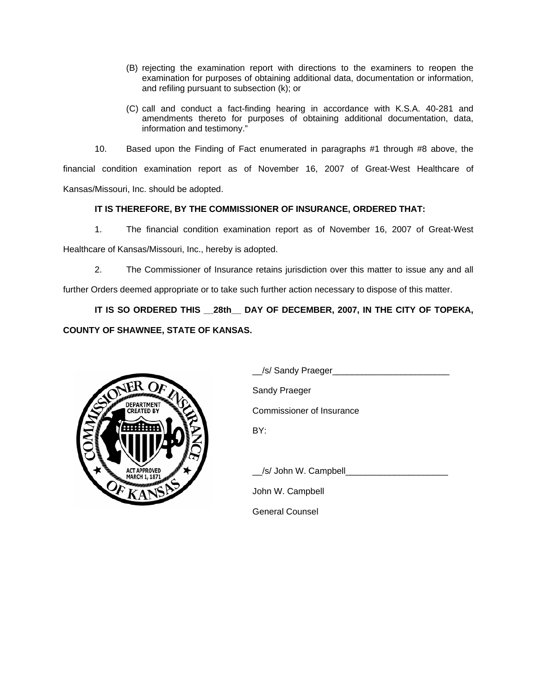- (B) rejecting the examination report with directions to the examiners to reopen the examination for purposes of obtaining additional data, documentation or information, and refiling pursuant to subsection (k); or
- (C) call and conduct a fact-finding hearing in accordance with K.S.A. 40-281 and amendments thereto for purposes of obtaining additional documentation, data, information and testimony."

 10. Based upon the Finding of Fact enumerated in paragraphs #1 through #8 above, the financial condition examination report as of November 16, 2007 of Great-West Healthcare of Kansas/Missouri, Inc. should be adopted.

# **IT IS THEREFORE, BY THE COMMISSIONER OF INSURANCE, ORDERED THAT:**

1. The financial condition examination report as of November 16, 2007 of Great-West

Healthcare of Kansas/Missouri, Inc., hereby is adopted.

2. The Commissioner of Insurance retains jurisdiction over this matter to issue any and all

further Orders deemed appropriate or to take such further action necessary to dispose of this matter.

**IT IS SO ORDERED THIS \_\_28th\_\_ DAY OF DECEMBER, 2007, IN THE CITY OF TOPEKA, COUNTY OF SHAWNEE, STATE OF KANSAS.** 



|                                                                    | /s/ Sandy Praeger_               |
|--------------------------------------------------------------------|----------------------------------|
| <b>DEPARTMENT</b><br><b>CREATED BY</b><br>⋝<br><b>ACT APPROVED</b> | Sandy Praeger                    |
|                                                                    | <b>Commissioner of Insurance</b> |
|                                                                    | BY:                              |
|                                                                    | /s/ John W. Campbell             |
|                                                                    | John W. Campbell                 |
|                                                                    | <b>General Counsel</b>           |